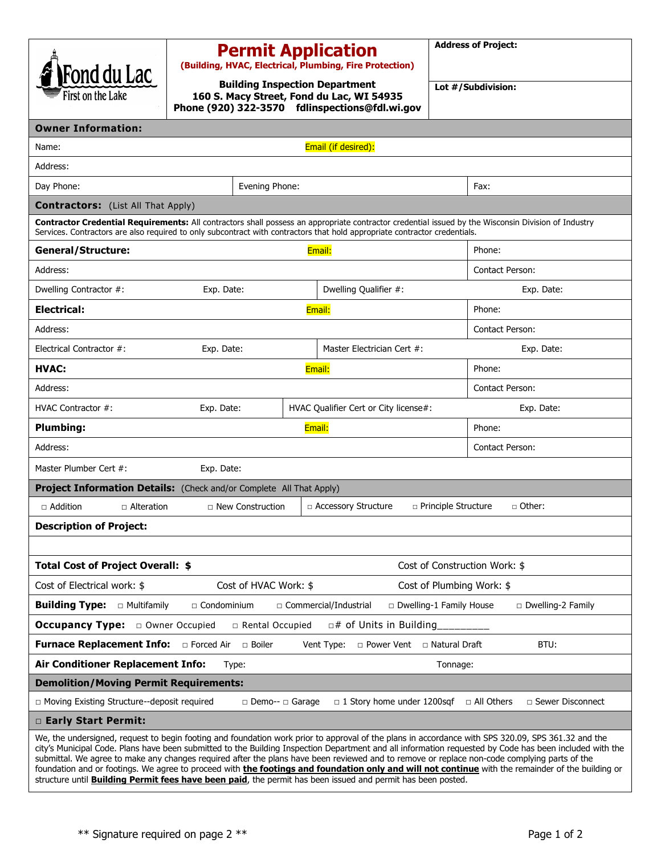| Fond du Lac                                                                                                                                                                                                                                                                                                                                                                                                                                                                                                                                                                                                               |                         | <b>Permit Application</b><br>(Building, HVAC, Electrical, Plumbing, Fire Protection)                                                 | <b>Address of Project:</b>             |  |  |
|---------------------------------------------------------------------------------------------------------------------------------------------------------------------------------------------------------------------------------------------------------------------------------------------------------------------------------------------------------------------------------------------------------------------------------------------------------------------------------------------------------------------------------------------------------------------------------------------------------------------------|-------------------------|--------------------------------------------------------------------------------------------------------------------------------------|----------------------------------------|--|--|
| First on the Lake                                                                                                                                                                                                                                                                                                                                                                                                                                                                                                                                                                                                         |                         | <b>Building Inspection Department</b><br>160 S. Macy Street, Fond du Lac, WI 54935<br>Phone (920) 322-3570 fdlinspections@fdl.wi.gov | Lot #/Subdivision:                     |  |  |
| <b>Owner Information:</b>                                                                                                                                                                                                                                                                                                                                                                                                                                                                                                                                                                                                 |                         |                                                                                                                                      |                                        |  |  |
| Email (if desired):<br>Name:                                                                                                                                                                                                                                                                                                                                                                                                                                                                                                                                                                                              |                         |                                                                                                                                      |                                        |  |  |
| Address:                                                                                                                                                                                                                                                                                                                                                                                                                                                                                                                                                                                                                  |                         |                                                                                                                                      |                                        |  |  |
| Day Phone:                                                                                                                                                                                                                                                                                                                                                                                                                                                                                                                                                                                                                | Evening Phone:          |                                                                                                                                      | Fax:                                   |  |  |
| <b>Contractors:</b> (List All That Apply)                                                                                                                                                                                                                                                                                                                                                                                                                                                                                                                                                                                 |                         |                                                                                                                                      |                                        |  |  |
| Contractor Credential Requirements: All contractors shall possess an appropriate contractor credential issued by the Wisconsin Division of Industry<br>Services. Contractors are also required to only subcontract with contractors that hold appropriate contractor credentials.                                                                                                                                                                                                                                                                                                                                         |                         |                                                                                                                                      |                                        |  |  |
| <b>General/Structure:</b><br>Email:                                                                                                                                                                                                                                                                                                                                                                                                                                                                                                                                                                                       |                         | Phone:                                                                                                                               |                                        |  |  |
| Address:                                                                                                                                                                                                                                                                                                                                                                                                                                                                                                                                                                                                                  |                         |                                                                                                                                      | Contact Person:                        |  |  |
| Dwelling Contractor #:                                                                                                                                                                                                                                                                                                                                                                                                                                                                                                                                                                                                    | Exp. Date:              | Dwelling Qualifier #:                                                                                                                | Exp. Date:                             |  |  |
| <b>Electrical:</b>                                                                                                                                                                                                                                                                                                                                                                                                                                                                                                                                                                                                        |                         | Email:                                                                                                                               | Phone:                                 |  |  |
| Address:                                                                                                                                                                                                                                                                                                                                                                                                                                                                                                                                                                                                                  |                         |                                                                                                                                      | <b>Contact Person:</b>                 |  |  |
| Electrical Contractor #:                                                                                                                                                                                                                                                                                                                                                                                                                                                                                                                                                                                                  | Exp. Date:              | Master Electrician Cert #:                                                                                                           | Exp. Date:                             |  |  |
| <b>HVAC:</b>                                                                                                                                                                                                                                                                                                                                                                                                                                                                                                                                                                                                              |                         | Email:                                                                                                                               | Phone:                                 |  |  |
| Address:                                                                                                                                                                                                                                                                                                                                                                                                                                                                                                                                                                                                                  |                         |                                                                                                                                      | <b>Contact Person:</b>                 |  |  |
| HVAC Contractor #:                                                                                                                                                                                                                                                                                                                                                                                                                                                                                                                                                                                                        | Exp. Date:              | HVAC Qualifier Cert or City license#:                                                                                                | Exp. Date:                             |  |  |
| <b>Plumbing:</b>                                                                                                                                                                                                                                                                                                                                                                                                                                                                                                                                                                                                          |                         | Email:                                                                                                                               | Phone:                                 |  |  |
| Address:                                                                                                                                                                                                                                                                                                                                                                                                                                                                                                                                                                                                                  |                         |                                                                                                                                      | <b>Contact Person:</b>                 |  |  |
| Master Plumber Cert #:<br>Exp. Date:                                                                                                                                                                                                                                                                                                                                                                                                                                                                                                                                                                                      |                         |                                                                                                                                      |                                        |  |  |
| Project Information Details: (Check and/or Complete All That Apply)                                                                                                                                                                                                                                                                                                                                                                                                                                                                                                                                                       |                         |                                                                                                                                      |                                        |  |  |
| $\Box$ Addition<br>$\Box$ Alteration                                                                                                                                                                                                                                                                                                                                                                                                                                                                                                                                                                                      | $\Box$ New Construction | □ Accessory Structure                                                                                                                | □ Other:<br>$\Box$ Principle Structure |  |  |
| <b>Description of Project:</b>                                                                                                                                                                                                                                                                                                                                                                                                                                                                                                                                                                                            |                         |                                                                                                                                      |                                        |  |  |
|                                                                                                                                                                                                                                                                                                                                                                                                                                                                                                                                                                                                                           |                         |                                                                                                                                      |                                        |  |  |
| Total Cost of Project Overall: \$<br>Cost of Construction Work: \$                                                                                                                                                                                                                                                                                                                                                                                                                                                                                                                                                        |                         |                                                                                                                                      |                                        |  |  |
| Cost of HVAC Work: \$<br>Cost of Electrical work: \$<br>Cost of Plumbing Work: \$                                                                                                                                                                                                                                                                                                                                                                                                                                                                                                                                         |                         |                                                                                                                                      |                                        |  |  |
| <b>Building Type:</b><br>□ Multifamily<br>$\Box$ Condominium<br>□ Commercial/Industrial<br>□ Dwelling-1 Family House<br>□ Dwelling-2 Family                                                                                                                                                                                                                                                                                                                                                                                                                                                                               |                         |                                                                                                                                      |                                        |  |  |
| <b>Occupancy Type:</b> $\Box$ Owner Occupied                                                                                                                                                                                                                                                                                                                                                                                                                                                                                                                                                                              | □ Rental Occupied       | $\Box$ # of Units in Building                                                                                                        |                                        |  |  |
| <b>Furnace Replacement Info:</b><br>□ Boiler<br>□ Forced Air<br>□ Power Vent □ Natural Draft<br>BTU:<br>Vent Type:                                                                                                                                                                                                                                                                                                                                                                                                                                                                                                        |                         |                                                                                                                                      |                                        |  |  |
| Air Conditioner Replacement Info:<br>Tonnage:<br>Type:                                                                                                                                                                                                                                                                                                                                                                                                                                                                                                                                                                    |                         |                                                                                                                                      |                                        |  |  |
| <b>Demolition/Moving Permit Requirements:</b>                                                                                                                                                                                                                                                                                                                                                                                                                                                                                                                                                                             |                         |                                                                                                                                      |                                        |  |  |
| □ Moving Existing Structure--deposit required<br>$\Box$ 1 Story home under 1200sqf<br>□ All Others<br>$\Box$ Sewer Disconnect<br>$\Box$ Demo-- $\Box$ Garage                                                                                                                                                                                                                                                                                                                                                                                                                                                              |                         |                                                                                                                                      |                                        |  |  |
| □ Early Start Permit:                                                                                                                                                                                                                                                                                                                                                                                                                                                                                                                                                                                                     |                         |                                                                                                                                      |                                        |  |  |
| We, the undersigned, request to begin footing and foundation work prior to approval of the plans in accordance with SPS 320.09, SPS 361.32 and the<br>city's Municipal Code. Plans have been submitted to the Building Inspection Department and all information requested by Code has been included with the<br>submittal. We agree to make any changes required after the plans have been reviewed and to remove or replace non-code complying parts of the<br>foundation and or footings. We agree to proceed with <b>the footings and foundation only and will not continue</b> with the remainder of the building or |                         |                                                                                                                                      |                                        |  |  |

\*\* Signature required on page 2 \*\* Page 1 of 2

structure until **Building Permit fees have been paid**, the permit has been issued and permit has been posted.